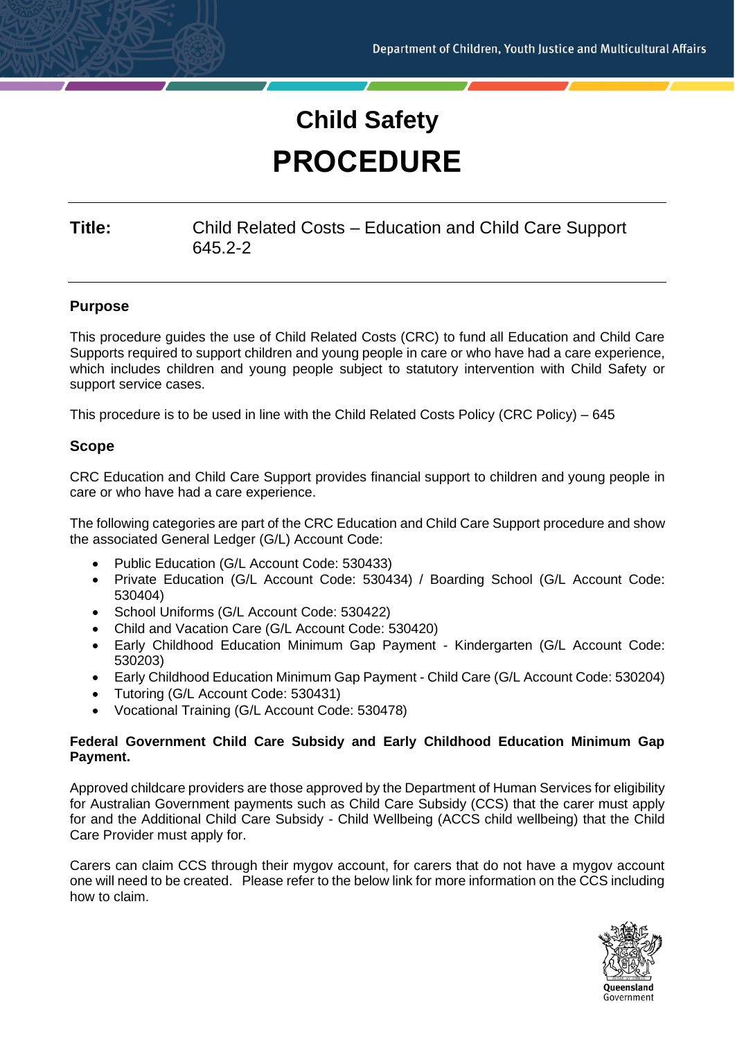# **Child Safety PROCEDURE**

## **Title:** Child Related Costs – Education and Child Care Support 645.2-2

## **Purpose**

This procedure guides the use of Child Related Costs (CRC) to fund all Education and Child Care Supports required to support children and young people in care or who have had a care experience, which includes children and young people subject to statutory intervention with Child Safety or support service cases.

This procedure is to be used in line with the Child Related Costs Policy (CRC Policy) – 645

#### **Scope**

CRC Education and Child Care Support provides financial support to children and young people in care or who have had a care experience.

The following categories are part of the CRC Education and Child Care Support procedure and show the associated General Ledger (G/L) Account Code:

- Public Education (G/L Account Code: 530433)
- Private Education (G/L Account Code: 530434) / Boarding School (G/L Account Code: 530404)
- School Uniforms (G/L Account Code: 530422)
- Child and Vacation Care (G/L Account Code: 530420)
- Early Childhood Education Minimum Gap Payment Kindergarten (G/L Account Code: 530203)
- Early Childhood Education Minimum Gap Payment Child Care (G/L Account Code: 530204)
- Tutoring (G/L Account Code: 530431)
- Vocational Training (G/L Account Code: 530478)

#### **Federal Government Child Care Subsidy and Early Childhood Education Minimum Gap Payment.**

Approved childcare providers are those approved by the Department of Human Services for eligibility for Australian Government payments such as Child Care Subsidy (CCS) that the carer must apply for and the Additional Child Care Subsidy - Child Wellbeing (ACCS child wellbeing) that the Child Care Provider must apply for.

Carers can claim CCS through their mygov account, for carers that do not have a mygov account one will need to be created. Please refer to the below link for more information on the CCS including how to claim.

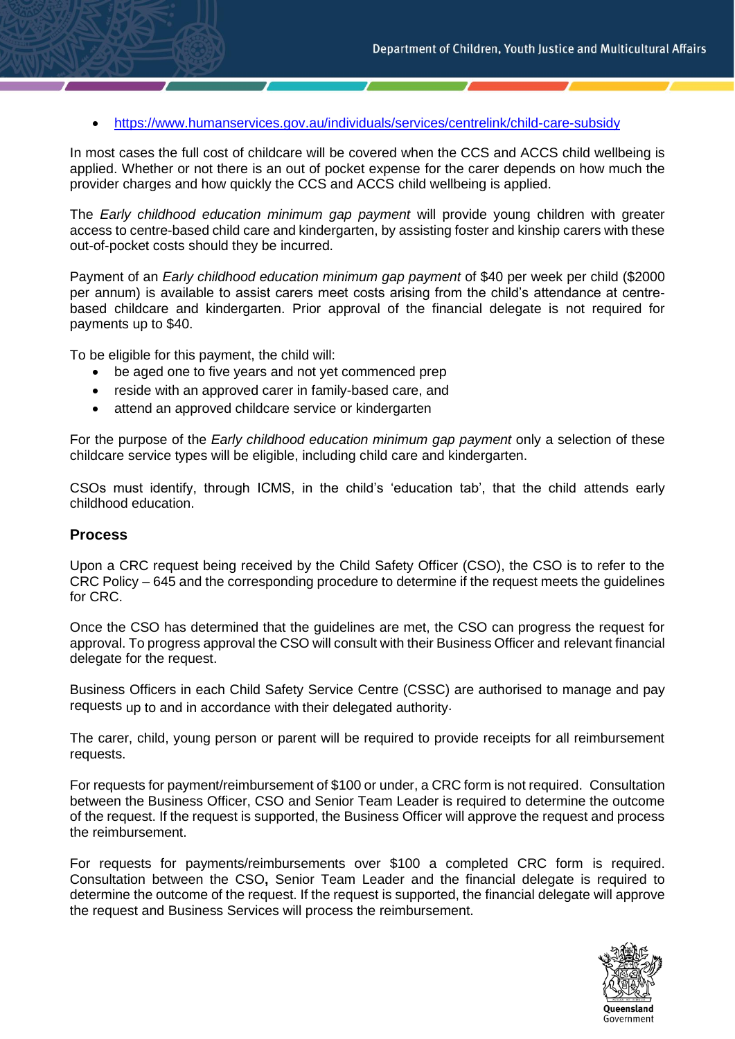• <https://www.humanservices.gov.au/individuals/services/centrelink/child-care-subsidy>

In most cases the full cost of childcare will be covered when the CCS and ACCS child wellbeing is applied. Whether or not there is an out of pocket expense for the carer depends on how much the provider charges and how quickly the CCS and ACCS child wellbeing is applied.

The *Early childhood education minimum gap payment* will provide young children with greater access to centre-based child care and kindergarten, by assisting foster and kinship carers with these out-of-pocket costs should they be incurred.

Payment of an *Early childhood education minimum gap payment* of \$40 per week per child (\$2000 per annum) is available to assist carers meet costs arising from the child's attendance at centrebased childcare and kindergarten. Prior approval of the financial delegate is not required for payments up to \$40.

To be eligible for this payment, the child will:

- be aged one to five years and not yet commenced prep
- reside with an approved carer in family-based care, and
- attend an approved childcare service or kindergarten

For the purpose of the *Early childhood education minimum gap payment* only a selection of these childcare service types will be eligible, including child care and kindergarten.

CSOs must identify, through ICMS, in the child's 'education tab', that the child attends early childhood education.

#### **Process**

Upon a CRC request being received by the Child Safety Officer (CSO), the CSO is to refer to the CRC Policy – 645 and the corresponding procedure to determine if the request meets the guidelines for CRC.

Once the CSO has determined that the guidelines are met, the CSO can progress the request for approval. To progress approval the CSO will consult with their Business Officer and relevant financial delegate for the request.

Business Officers in each Child Safety Service Centre (CSSC) are authorised to manage and pay requests up to and in accordance with their delegated authority.

The carer, child, young person or parent will be required to provide receipts for all reimbursement requests.

For requests for payment/reimbursement of \$100 or under, a CRC form is not required. Consultation between the Business Officer, CSO and Senior Team Leader is required to determine the outcome of the request. If the request is supported, the Business Officer will approve the request and process the reimbursement.

For requests for payments/reimbursements over \$100 a completed CRC form is required. Consultation between the CSO**,** Senior Team Leader and the financial delegate is required to determine the outcome of the request. If the request is supported, the financial delegate will approve the request and Business Services will process the reimbursement.

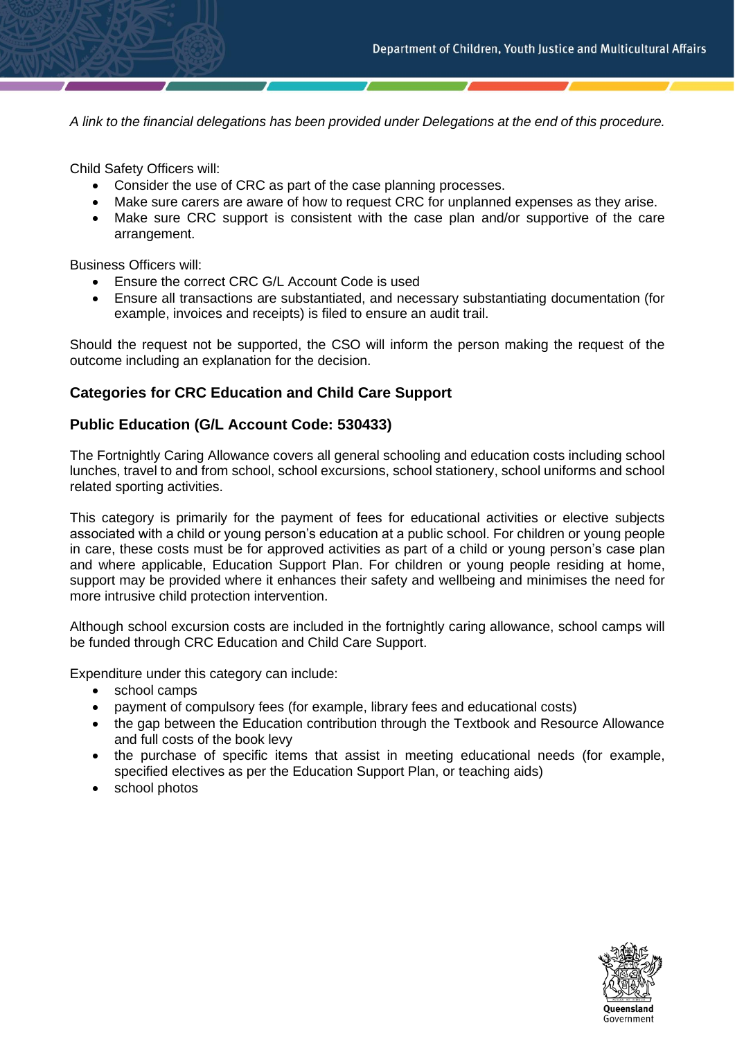*A link to the financial delegations has been provided under Delegations at the end of this procedure.*

Child Safety Officers will:

- Consider the use of CRC as part of the case planning processes.
- Make sure carers are aware of how to request CRC for unplanned expenses as they arise.
- Make sure CRC support is consistent with the case plan and/or supportive of the care arrangement.

Business Officers will:

- Ensure the correct CRC G/L Account Code is used
- Ensure all transactions are substantiated, and necessary substantiating documentation (for example, invoices and receipts) is filed to ensure an audit trail.

Should the request not be supported, the CSO will inform the person making the request of the outcome including an explanation for the decision.

#### **Categories for CRC Education and Child Care Support**

#### **Public Education (G/L Account Code: 530433)**

The Fortnightly Caring Allowance covers all general schooling and education costs including school lunches, travel to and from school, school excursions, school stationery, school uniforms and school related sporting activities.

This category is primarily for the payment of fees for educational activities or elective subjects associated with a child or young person's education at a public school. For children or young people in care, these costs must be for approved activities as part of a child or young person's case plan and where applicable, Education Support Plan. For children or young people residing at home, support may be provided where it enhances their safety and wellbeing and minimises the need for more intrusive child protection intervention.

Although school excursion costs are included in the fortnightly caring allowance, school camps will be funded through CRC Education and Child Care Support.

Expenditure under this category can include:

- school camps
- payment of compulsory fees (for example, library fees and educational costs)
- the gap between the Education contribution through the Textbook and Resource Allowance and full costs of the book levy
- the purchase of specific items that assist in meeting educational needs (for example, specified electives as per the Education Support Plan, or teaching aids)
- school photos

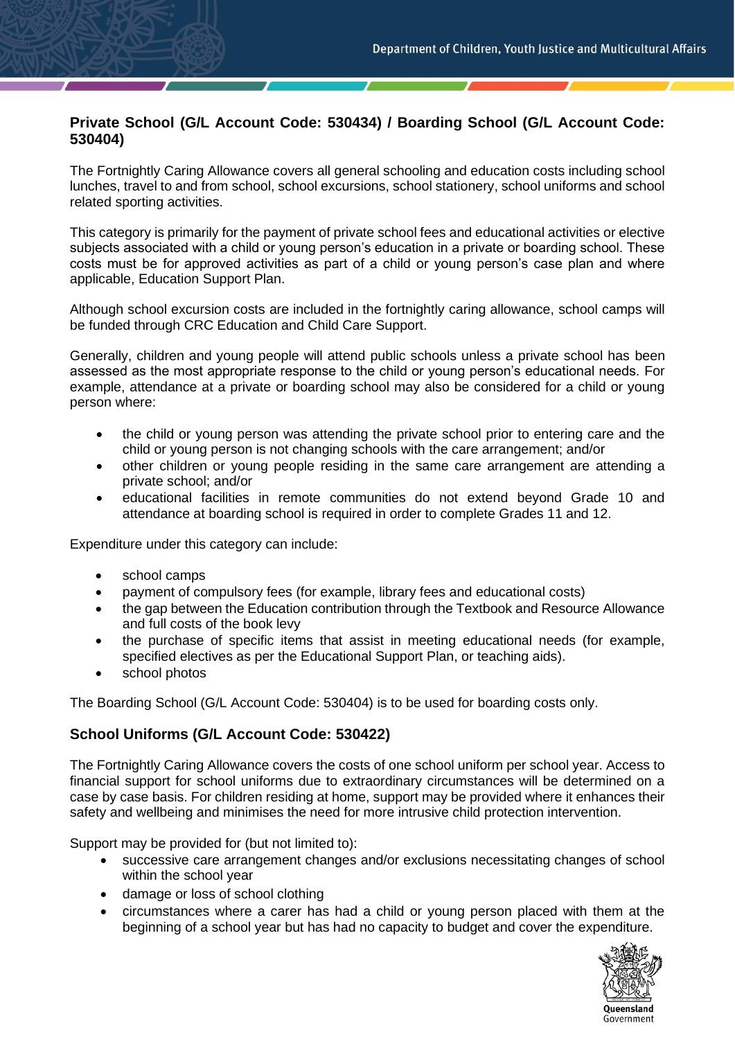## **Private School (G/L Account Code: 530434) / Boarding School (G/L Account Code: 530404)**

The Fortnightly Caring Allowance covers all general schooling and education costs including school lunches, travel to and from school, school excursions, school stationery, school uniforms and school related sporting activities.

This category is primarily for the payment of private school fees and educational activities or elective subjects associated with a child or young person's education in a private or boarding school. These costs must be for approved activities as part of a child or young person's case plan and where applicable, Education Support Plan.

Although school excursion costs are included in the fortnightly caring allowance, school camps will be funded through CRC Education and Child Care Support.

Generally, children and young people will attend public schools unless a private school has been assessed as the most appropriate response to the child or young person's educational needs. For example, attendance at a private or boarding school may also be considered for a child or young person where:

- the child or young person was attending the private school prior to entering care and the child or young person is not changing schools with the care arrangement; and/or
- other children or young people residing in the same care arrangement are attending a private school; and/or
- educational facilities in remote communities do not extend beyond Grade 10 and attendance at boarding school is required in order to complete Grades 11 and 12.

Expenditure under this category can include:

- school camps
- payment of compulsory fees (for example, library fees and educational costs)
- the gap between the Education contribution through the Textbook and Resource Allowance and full costs of the book levy
- the purchase of specific items that assist in meeting educational needs (for example, specified electives as per the Educational Support Plan, or teaching aids).
- school photos

The Boarding School (G/L Account Code: 530404) is to be used for boarding costs only.

## **School Uniforms (G/L Account Code: 530422)**

The Fortnightly Caring Allowance covers the costs of one school uniform per school year. Access to financial support for school uniforms due to extraordinary circumstances will be determined on a case by case basis. For children residing at home, support may be provided where it enhances their safety and wellbeing and minimises the need for more intrusive child protection intervention.

Support may be provided for (but not limited to):

- successive care arrangement changes and/or exclusions necessitating changes of school within the school year
- damage or loss of school clothing
- circumstances where a carer has had a child or young person placed with them at the beginning of a school year but has had no capacity to budget and cover the expenditure.

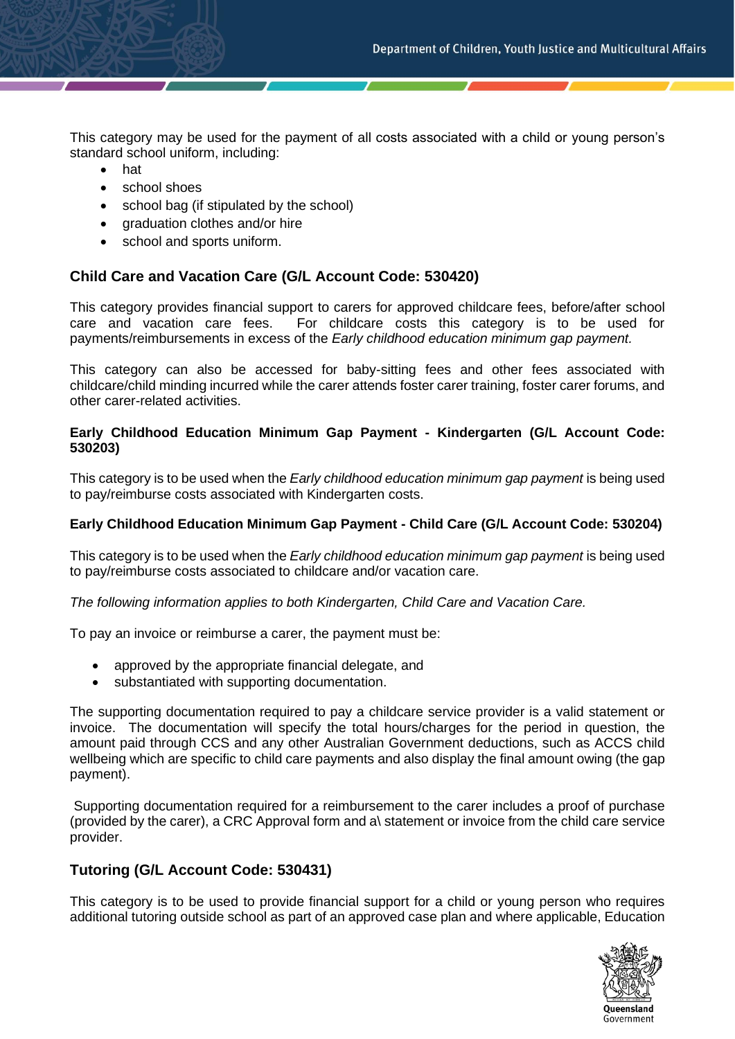This category may be used for the payment of all costs associated with a child or young person's standard school uniform, including:

- hat
- school shoes
- school bag (if stipulated by the school)
- graduation clothes and/or hire
- school and sports uniform.

#### **Child Care and Vacation Care (G/L Account Code: 530420)**

This category provides financial support to carers for approved childcare fees, before/after school care and vacation care fees. For childcare costs this category is to be used for payments/reimbursements in excess of the *Early childhood education minimum gap payment.*

This category can also be accessed for baby-sitting fees and other fees associated with childcare/child minding incurred while the carer attends foster carer training, foster carer forums, and other carer-related activities.

#### **Early Childhood Education Minimum Gap Payment - Kindergarten (G/L Account Code: 530203)**

This category is to be used when the *Early childhood education minimum gap payment* is being used to pay/reimburse costs associated with Kindergarten costs.

#### **Early Childhood Education Minimum Gap Payment - Child Care (G/L Account Code: 530204)**

This category is to be used when the *Early childhood education minimum gap payment* is being used to pay/reimburse costs associated to childcare and/or vacation care.

*The following information applies to both Kindergarten, Child Care and Vacation Care.*

To pay an invoice or reimburse a carer, the payment must be:

- approved by the appropriate financial delegate, and
- substantiated with supporting documentation.

The supporting documentation required to pay a childcare service provider is a valid statement or invoice. The documentation will specify the total hours/charges for the period in question, the amount paid through CCS and any other Australian Government deductions, such as ACCS child wellbeing which are specific to child care payments and also display the final amount owing (the gap payment).

Supporting documentation required for a reimbursement to the carer includes a proof of purchase (provided by the carer), a CRC Approval form and a\ statement or invoice from the child care service provider.

## **Tutoring (G/L Account Code: 530431)**

This category is to be used to provide financial support for a child or young person who requires additional tutoring outside school as part of an approved case plan and where applicable, Education

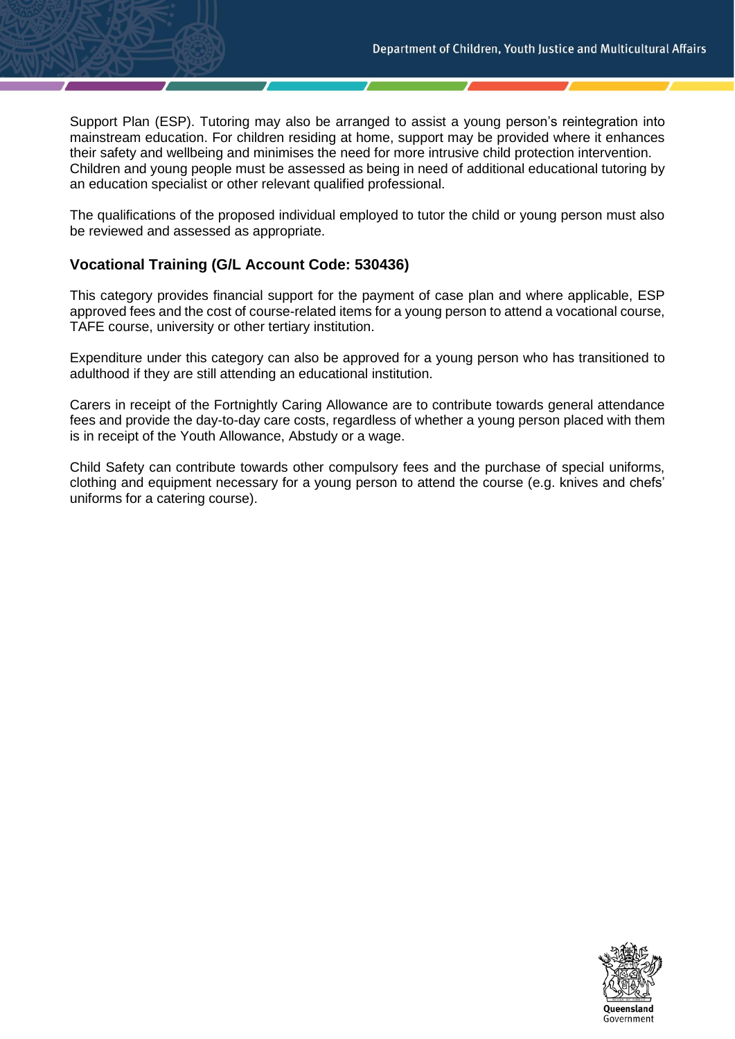Support Plan (ESP). Tutoring may also be arranged to assist a young person's reintegration into mainstream education. For children residing at home, support may be provided where it enhances their safety and wellbeing and minimises the need for more intrusive child protection intervention. Children and young people must be assessed as being in need of additional educational tutoring by an education specialist or other relevant qualified professional.

The qualifications of the proposed individual employed to tutor the child or young person must also be reviewed and assessed as appropriate.

## **Vocational Training (G/L Account Code: 530436)**

This category provides financial support for the payment of case plan and where applicable, ESP approved fees and the cost of course-related items for a young person to attend a vocational course, TAFE course, university or other tertiary institution.

Expenditure under this category can also be approved for a young person who has transitioned to adulthood if they are still attending an educational institution.

Carers in receipt of the Fortnightly Caring Allowance are to contribute towards general attendance fees and provide the day-to-day care costs, regardless of whether a young person placed with them is in receipt of the Youth Allowance, Abstudy or a wage.

Child Safety can contribute towards other compulsory fees and the purchase of special uniforms, clothing and equipment necessary for a young person to attend the course (e.g. knives and chefs' uniforms for a catering course).

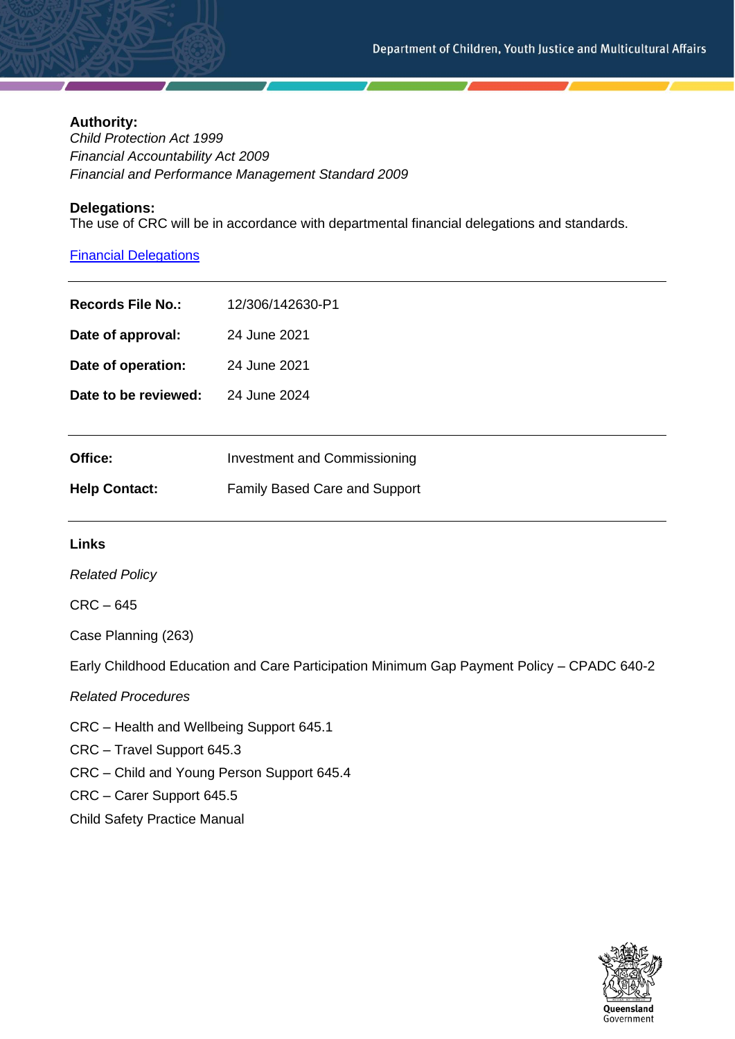#### **Authority:**

*Child Protection Act 1999 Financial Accountability Act 2009 Financial and Performance Management Standard 2009*

#### **Delegations:**

The use of CRC will be in accordance with departmental financial delegations and standards.

## [Financial Delegations](https://cyjmaintranet.root.internal/finance-procurement/financial-delegations)

| <b>Records File No.:</b> | 12/306/142630-P1                    |
|--------------------------|-------------------------------------|
| Date of approval:        | 24 June 2021                        |
| Date of operation:       | 24 June 2021                        |
| Date to be reviewed:     | 24 June 2024                        |
|                          |                                     |
| Office:                  | <b>Investment and Commissioning</b> |
| <b>Help Contact:</b>     | Family Based Care and Support       |
|                          |                                     |

#### **Links**

*Related Policy*

CRC – 645

Case Planning (263)

Early Childhood Education and Care Participation Minimum Gap Payment Policy – CPADC 640-2

*Related Procedures*

CRC – Health and Wellbeing Support 645.1

CRC – Travel Support 645.3

CRC – Child and Young Person Support 645.4

CRC – Carer Support 645.5

Child Safety Practice Manual